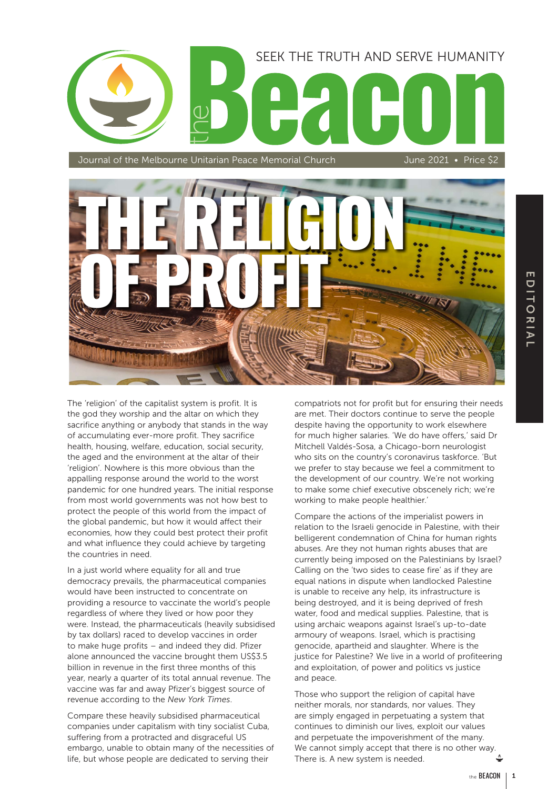# SEEK THE TRUTH AND SERVE HUMANITY

Journal of the Melbourne Unitarian Peace Memorial Church June 2021 • Price \$2



The 'religion' of the capitalist system is profit. It is the god they worship and the altar on which they sacrifice anything or anybody that stands in the way of accumulating ever-more profit. They sacrifice health, housing, welfare, education, social security, the aged and the environment at the altar of their 'religion'. Nowhere is this more obvious than the appalling response around the world to the worst pandemic for one hundred years. The initial response from most world governments was not how best to protect the people of this world from the impact of the global pandemic, but how it would affect their economies, how they could best protect their profit and what influence they could achieve by targeting the countries in need.

In a just world where equality for all and true democracy prevails, the pharmaceutical companies would have been instructed to concentrate on providing a resource to vaccinate the world's people regardless of where they lived or how poor they were. Instead, the pharmaceuticals (heavily subsidised by tax dollars) raced to develop vaccines in order to make huge profits – and indeed they did. Pfizer alone announced the vaccine brought them US\$3.5 billion in revenue in the first three months of this year, nearly a quarter of its total annual revenue. The vaccine was far and away Pfizer's biggest source of revenue according to the *New York Times*.

Compare these heavily subsidised pharmaceutical companies under capitalism with tiny socialist Cuba, suffering from a protracted and disgraceful US embargo, unable to obtain many of the necessities of life, but whose people are dedicated to serving their

compatriots not for profit but for ensuring their needs are met. Their doctors continue to serve the people despite having the opportunity to work elsewhere for much higher salaries. 'We do have offers,' said Dr Mitchell Valdés-Sosa, a Chicago-born neurologist who sits on the country's coronavirus taskforce. 'But we prefer to stay because we feel a commitment to the development of our country. We're not working to make some chief executive obscenely rich; we're working to make people healthier.'

Compare the actions of the imperialist powers in relation to the Israeli genocide in Palestine, with their belligerent condemnation of China for human rights abuses. Are they not human rights abuses that are currently being imposed on the Palestinians by Israel? Calling on the 'two sides to cease fire' as if they are equal nations in dispute when landlocked Palestine is unable to receive any help, its infrastructure is being destroyed, and it is being deprived of fresh water, food and medical supplies. Palestine, that is using archaic weapons against Israel's up-to-date armoury of weapons. Israel, which is practising genocide, apartheid and slaughter. Where is the justice for Palestine? We live in a world of profiteering and exploitation, of power and politics vs justice and peace.

Those who support the religion of capital have neither morals, nor standards, nor values. They are simply engaged in perpetuating a system that continues to diminish our lives, exploit our values and perpetuate the impoverishment of the many. We cannot simply accept that there is no other way. There is. A new system is needed.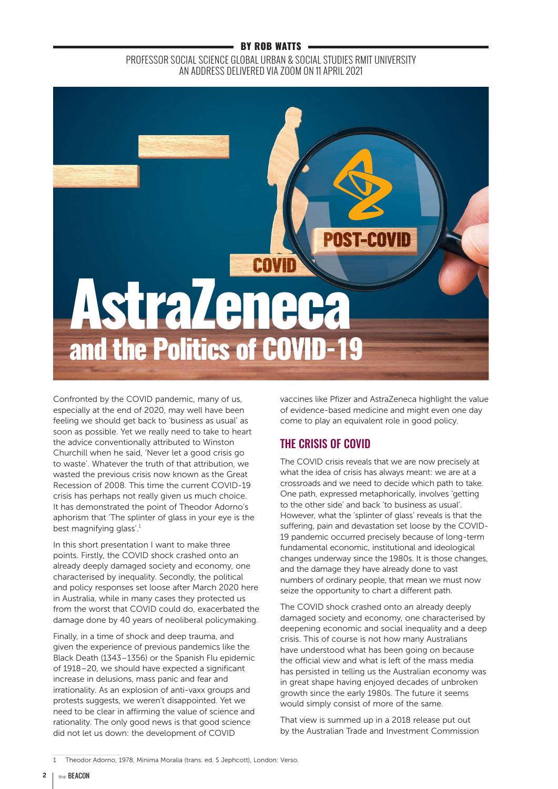### BY ROB WATTS

## PROFESSOR SOCIAL SCIENCE GLOBAL URBAN & SOCIAL STUDIES RMIT UNIVERSITY AN ADDRESS DELIVERED VIA ZOOM ON 11 APRIL 2021



Confronted by the COVID pandemic, many of us, especially at the end of 2020, may well have been feeling we should get back to 'business as usual' as soon as possible. Yet we really need to take to heart the advice conventionally attributed to Winston Churchill when he said, 'Never let a good crisis go to waste'. Whatever the truth of that attribution, we wasted the previous crisis now known as the Great Recession of 2008. This time the current COVID-19 crisis has perhaps not really given us much choice. It has demonstrated the point of Theodor Adorno's aphorism that 'The splinter of glass in your eye is the best magnifying glass'.<sup>1</sup>

In this short presentation I want to make three points. Firstly, the COVID shock crashed onto an already deeply damaged society and economy, one characterised by inequality. Secondly, the political and policy responses set loose after March 2020 here in Australia, while in many cases they protected us from the worst that COVID could do, exacerbated the damage done by 40 years of neoliberal policymaking.

Finally, in a time of shock and deep trauma, and given the experience of previous pandemics like the Black Death (1343–1356) or the Spanish Flu epidemic of 1918–20, we should have expected a significant increase in delusions, mass panic and fear and irrationality. As an explosion of anti-vaxx groups and protests suggests, we weren't disappointed. Yet we need to be clear in affirming the value of science and rationality. The only good news is that good science did not let us down: the development of COVID

vaccines like Pfizer and AstraZeneca highlight the value of evidence-based medicine and might even one day come to play an equivalent role in good policy.

## THE CRISIS OF COVID

The COVID crisis reveals that we are now precisely at what the idea of crisis has always meant: we are at a crossroads and we need to decide which path to take. One path, expressed metaphorically, involves 'getting to the other side' and back 'to business as usual'. However, what the 'splinter of glass' reveals is that the suffering, pain and devastation set loose by the COVID-19 pandemic occurred precisely because of long-term fundamental economic, institutional and ideological changes underway since the 1980s. It is those changes, and the damage they have already done to vast numbers of ordinary people, that mean we must now seize the opportunity to chart a different path.

The COVID shock crashed onto an already deeply damaged society and economy, one characterised by deepening economic and social inequality and a deep crisis. This of course is not how many Australians have understood what has been going on because the official view and what is left of the mass media has persisted in telling us the Australian economy was in great shape having enjoyed decades of unbroken growth since the early 1980s. The future it seems would simply consist of more of the same.

That view is summed up in a 2018 release put out by the Australian Trade and Investment Commission

<sup>1</sup> Theodor Adorno, 1978, Minima Moralia (trans. ed. S Jephcott), London: Verso.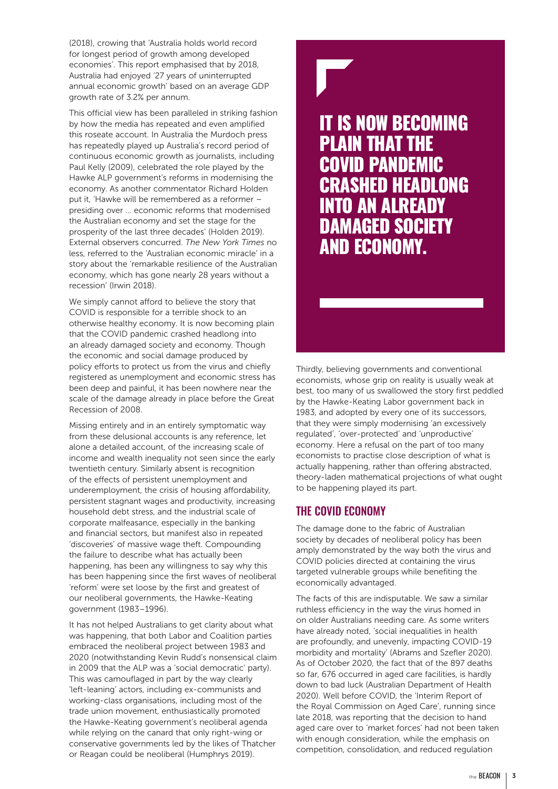(2018), crowing that 'Australia holds world record for longest period of growth among developed economies'. This report emphasised that by 2018, Australia had enjoyed '27 years of uninterrupted annual economic growth' based on an average GDP growth rate of 3.2% per annum.

This official view has been paralleled in striking fashion by how the media has repeated and even amplified this roseate account. In Australia the Murdoch press has repeatedly played up Australia's record period of continuous economic growth as journalists, including Paul Kelly (2009), celebrated the role played by the Hawke ALP government's reforms in modernising the economy. As another commentator Richard Holden put it, 'Hawke will be remembered as a reformer – presiding over … economic reforms that modernised the Australian economy and set the stage for the prosperity of the last three decades' (Holden 2019). External observers concurred. *The New York Times* no less, referred to the 'Australian economic miracle' in a story about the 'remarkable resilience of the Australian economy, which has gone nearly 28 years without a recession' (Irwin 2018).

We simply cannot afford to believe the story that COVID is responsible for a terrible shock to an otherwise healthy economy. It is now becoming plain that the COVID pandemic crashed headlong into an already damaged society and economy. Though the economic and social damage produced by policy efforts to protect us from the virus and chiefly registered as unemployment and economic stress has been deep and painful, it has been nowhere near the scale of the damage already in place before the Great Recession of 2008.

Missing entirely and in an entirely symptomatic way from these delusional accounts is any reference, let alone a detailed account, of the increasing scale of income and wealth inequality not seen since the early twentieth century. Similarly absent is recognition of the effects of persistent unemployment and underemployment, the crisis of housing affordability, persistent stagnant wages and productivity, increasing household debt stress, and the industrial scale of corporate malfeasance, especially in the banking and financial sectors, but manifest also in repeated 'discoveries' of massive wage theft. Compounding the failure to describe what has actually been happening, has been any willingness to say why this has been happening since the first waves of neoliberal 'reform' were set loose by the first and greatest of our neoliberal governments, the Hawke-Keating government (1983–1996).

It has not helped Australians to get clarity about what was happening, that both Labor and Coalition parties embraced the neoliberal project between 1983 and 2020 (notwithstanding Kevin Rudd's nonsensical claim in 2009 that the ALP was a 'social democratic' party). This was camouflaged in part by the way clearly 'left-leaning' actors, including ex-communists and working-class organisations, including most of the trade union movement, enthusiastically promoted the Hawke-Keating government's neoliberal agenda while relying on the canard that only right-wing or conservative governments led by the likes of Thatcher or Reagan could be neoliberal (Humphrys 2019).

IT IS NOW BECOMING PLAIN THAT THE COVID PANDEMIC CRASHED HEADLONG INTO AN ALREADY DAMAGED SOCIETY AND ECONOMY.

Thirdly, believing governments and conventional economists, whose grip on reality is usually weak at best, too many of us swallowed the story first peddled by the Hawke-Keating Labor government back in 1983, and adopted by every one of its successors, that they were simply modernising 'an excessively regulated', 'over-protected' and 'unproductive' economy. Here a refusal on the part of too many economists to practise close description of what is actually happening, rather than offering abstracted, theory-laden mathematical projections of what ought to be happening played its part.

## THE COVID ECONOMY

The damage done to the fabric of Australian society by decades of neoliberal policy has been amply demonstrated by the way both the virus and COVID policies directed at containing the virus targeted vulnerable groups while benefiting the economically advantaged.

The facts of this are indisputable. We saw a similar ruthless efficiency in the way the virus homed in on older Australians needing care. As some writers have already noted, 'social inequalities in health are profoundly, and unevenly, impacting COVID-19 morbidity and mortality' (Abrams and Szefler 2020). As of October 2020, the fact that of the 897 deaths so far, 676 occurred in aged care facilities, is hardly down to bad luck (Australian Department of Health 2020). Well before COVID, the 'Interim Report of the Royal Commission on Aged Care', running since late 2018, was reporting that the decision to hand aged care over to 'market forces' had not been taken with enough consideration, while the emphasis on competition, consolidation, and reduced regulation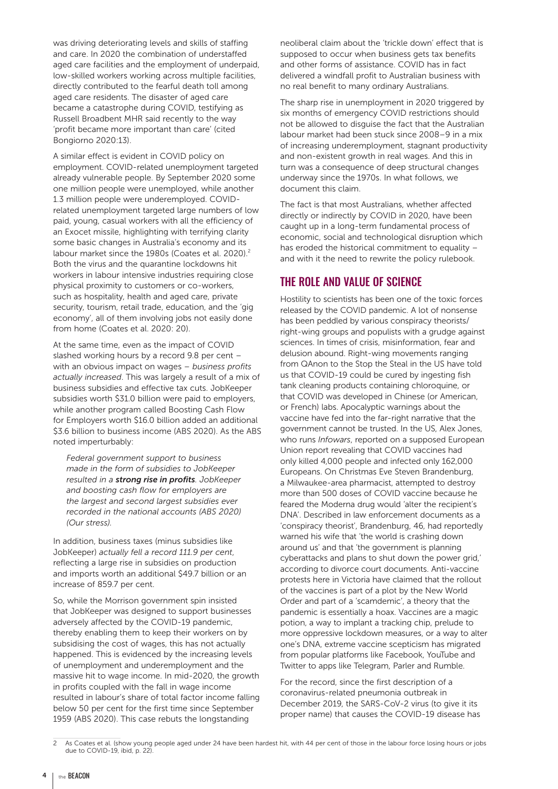was driving deteriorating levels and skills of staffing and care. In 2020 the combination of understaffed aged care facilities and the employment of underpaid, low-skilled workers working across multiple facilities, directly contributed to the fearful death toll among aged care residents. The disaster of aged care became a catastrophe during COVID, testifying as Russell Broadbent MHR said recently to the way 'profit became more important than care' (cited Bongiorno 2020:13).

A similar effect is evident in COVID policy on employment. COVID-related unemployment targeted already vulnerable people. By September 2020 some one million people were unemployed, while another 1.3 million people were underemployed. COVIDrelated unemployment targeted large numbers of low paid, young, casual workers with all the efficiency of an Exocet missile, highlighting with terrifying clarity some basic changes in Australia's economy and its labour market since the 1980s (Coates et al. 2020).<sup>2</sup> Both the virus and the quarantine lockdowns hit workers in labour intensive industries requiring close physical proximity to customers or co-workers, such as hospitality, health and aged care, private security, tourism, retail trade, education, and the 'gig economy', all of them involving jobs not easily done from home (Coates et al. 2020: 20).

At the same time, even as the impact of COVID slashed working hours by a record 9.8 per cent – with an obvious impact on wages – *business profits actually increased*. This was largely a result of a mix of business subsidies and effective tax cuts. JobKeeper subsidies worth \$31.0 billion were paid to employers, while another program called Boosting Cash Flow for Employers worth \$16.0 billion added an additional \$3.6 billion to business income (ABS 2020). As the ABS noted imperturbably:

*Federal government support to business made in the form of subsidies to JobKeeper resulted in a strong rise in profits. JobKeeper and boosting cash flow for employers are the largest and second largest subsidies ever recorded in the national accounts (ABS 2020) (Our stress).*

In addition, business taxes (minus subsidies like JobKeeper) *actually fell a record 111.9 per cent*, reflecting a large rise in subsidies on production and imports worth an additional \$49.7 billion or an increase of 859.7 per cent.

So, while the Morrison government spin insisted that JobKeeper was designed to support businesses adversely affected by the COVID-19 pandemic, thereby enabling them to keep their workers on by subsidising the cost of wages, this has not actually happened. This is evidenced by the increasing levels of unemployment and underemployment and the massive hit to wage income. In mid-2020, the growth in profits coupled with the fall in wage income resulted in labour's share of total factor income falling below 50 per cent for the first time since September 1959 (ABS 2020). This case rebuts the longstanding

neoliberal claim about the 'trickle down' effect that is supposed to occur when business gets tax benefits and other forms of assistance. COVID has in fact delivered a windfall profit to Australian business with no real benefit to many ordinary Australians.

The sharp rise in unemployment in 2020 triggered by six months of emergency COVID restrictions should not be allowed to disguise the fact that the Australian labour market had been stuck since 2008–9 in a mix of increasing underemployment, stagnant productivity and non-existent growth in real wages. And this in turn was a consequence of deep structural changes underway since the 1970s. In what follows, we document this claim.

The fact is that most Australians, whether affected directly or indirectly by COVID in 2020, have been caught up in a long-term fundamental process of economic, social and technological disruption which has eroded the historical commitment to equality – and with it the need to rewrite the policy rulebook.

## THE ROLE AND VALUE OF SCIENCE

Hostility to scientists has been one of the toxic forces released by the COVID pandemic. A lot of nonsense has been peddled by various conspiracy theorists/ right-wing groups and populists with a grudge against sciences. In times of crisis, misinformation, fear and delusion abound. Right-wing movements ranging from QAnon to the Stop the Steal in the US have told us that COVID-19 could be cured by ingesting fish tank cleaning products containing chloroquine, or that COVID was developed in Chinese (or American, or French) labs. Apocalyptic warnings about the vaccine have fed into the far-right narrative that the government cannot be trusted. In the US, Alex Jones, who runs *Infowars*, reported on a supposed European Union report revealing that COVID vaccines had only killed 4,000 people and infected only 162,000 Europeans. On Christmas Eve Steven Brandenburg, a Milwaukee-area pharmacist, attempted to destroy more than 500 doses of COVID vaccine because he feared the Moderna drug would 'alter the recipient's DNA'. Described in law enforcement documents as a 'conspiracy theorist', Brandenburg, 46, had reportedly warned his wife that 'the world is crashing down around us' and that 'the government is planning cyberattacks and plans to shut down the power grid,' according to divorce court documents. Anti-vaccine protests here in Victoria have claimed that the rollout of the vaccines is part of a plot by the New World Order and part of a 'scamdemic', a theory that the pandemic is essentially a hoax. Vaccines are a magic potion, a way to implant a tracking chip, prelude to more oppressive lockdown measures, or a way to alter one's DNA, extreme vaccine scepticism has migrated from popular platforms like Facebook, YouTube and Twitter to apps like Telegram, Parler and Rumble.

For the record, since the first description of a coronavirus-related pneumonia outbreak in December 2019, the SARS-CoV-2 virus (to give it its proper name) that causes the COVID-19 disease has

<sup>2</sup> As Coates et al. (show young people aged under 24 have been hardest hit, with 44 per cent of those in the labour force losing hours or jobs due to COVID-19, ibid, p. 22).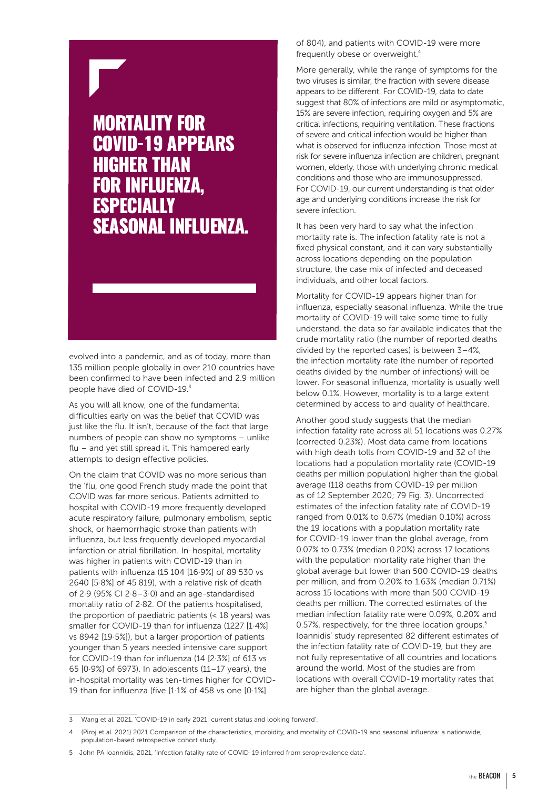## MORTALITY FOR COVID-19 APPEARS HIGHER THAN FOR INFLUENZA, **ESPECIALLY** SEASONAL INFLUENZA.

evolved into a pandemic, and as of today, more than 135 million people globally in over 210 countries have been confirmed to have been infected and 2.9 million people have died of COVID-19.<sup>3</sup>

As you will all know, one of the fundamental difficulties early on was the belief that COVID was just like the flu. It isn't, because of the fact that large numbers of people can show no symptoms – unlike flu – and yet still spread it. This hampered early attempts to design effective policies.

On the claim that COVID was no more serious than the 'flu, one good French study made the point that COVID was far more serious. Patients admitted to hospital with COVID-19 more frequently developed acute respiratory failure, pulmonary embolism, septic shock, or haemorrhagic stroke than patients with influenza, but less frequently developed myocardial infarction or atrial fibrillation. In-hospital, mortality was higher in patients with COVID-19 than in patients with influenza (15 104 [16·9%] of 89 530 vs 2640 [5·8%] of 45 819), with a relative risk of death of 2·9 (95% CI 2·8–3·0) and an age-standardised mortality ratio of 2·82. Of the patients hospitalised, the proportion of paediatric patients (< 18 years) was smaller for COVID-19 than for influenza (1227 [1·4%] vs 8942 [19·5%]), but a larger proportion of patients younger than 5 years needed intensive care support for COVID-19 than for influenza (14 [2·3%] of 613 vs 65 [0·9%] of 6973). In adolescents (11–17 years), the in-hospital mortality was ten-times higher for COVID-19 than for influenza (five [1·1% of 458 vs one [0·1%]

of 804), and patients with COVID-19 were more frequently obese or overweight.4

More generally, while the range of symptoms for the two viruses is similar, the fraction with severe disease appears to be different. For COVID-19, data to date suggest that 80% of infections are mild or asymptomatic, 15% are severe infection, requiring oxygen and 5% are critical infections, requiring ventilation. These fractions of severe and critical infection would be higher than what is observed for influenza infection. Those most at risk for severe influenza infection are children, pregnant women, elderly, those with underlying chronic medical conditions and those who are immunosuppressed. For COVID-19, our current understanding is that older age and underlying conditions increase the risk for severe infection.

It has been very hard to say what the infection mortality rate is. The infection fatality rate is not a fixed physical constant, and it can vary substantially across locations depending on the population structure, the case mix of infected and deceased individuals, and other local factors.

Mortality for COVID-19 appears higher than for influenza, especially seasonal influenza. While the true mortality of COVID-19 will take some time to fully understand, the data so far available indicates that the crude mortality ratio (the number of reported deaths divided by the reported cases) is between 3–4%, the infection mortality rate (the number of reported deaths divided by the number of infections) will be lower. For seasonal influenza, mortality is usually well below 0.1%. However, mortality is to a large extent determined by access to and quality of healthcare.

Another good study suggests that the median infection fatality rate across all 51 locations was 0.27% (corrected 0.23%). Most data came from locations with high death tolls from COVID-19 and 32 of the locations had a population mortality rate (COVID-19 deaths per million population) higher than the global average (118 deaths from COVID-19 per million as of 12 September 2020; 79 Fig. 3). Uncorrected estimates of the infection fatality rate of COVID-19 ranged from 0.01% to 0.67% (median 0.10%) across the 19 locations with a population mortality rate for COVID-19 lower than the global average, from 0.07% to 0.73% (median 0.20%) across 17 locations with the population mortality rate higher than the global average but lower than 500 COVID-19 deaths per million, and from 0.20% to 1.63% (median 0.71%) across 15 locations with more than 500 COVID-19 deaths per million. The corrected estimates of the median infection fatality rate were 0.09%, 0.20% and 0.57%, respectively, for the three location groups.<sup>5</sup> Ioannidis' study represented 82 different estimates of the infection fatality rate of COVID-19, but they are not fully representative of all countries and locations around the world. Most of the studies are from locations with overall COVID-19 mortality rates that are higher than the global average.

<sup>3</sup> Wang et al. 2021, 'COVID-19 in early 2021: current status and looking forward'.

<sup>4</sup> (Piroj et al. 2021) 2021 Comparison of the characteristics, morbidity, and mortality of COVID-19 and seasonal influenza: a nationwide, population-based retrospective cohort study.

<sup>5</sup> John PA Ioannidis, 2021, 'Infection fatality rate of COVID-19 inferred from seroprevalence data'.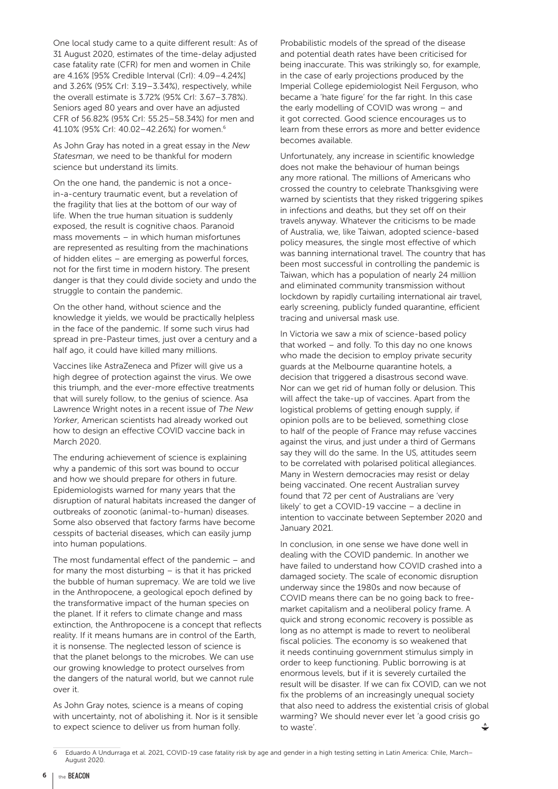One local study came to a quite different result: As of 31 August 2020, estimates of the time-delay adjusted case fatality rate (CFR) for men and women in Chile are 4.16% [95% Credible Interval (CrI): 4.09–4.24%] and 3.26% (95% CrI: 3.19–3.34%), respectively, while the overall estimate is 3.72% (95% CrI: 3.67–3.78%). Seniors aged 80 years and over have an adjusted CFR of 56.82% (95% CrI: 55.25–58.34%) for men and 41.10% (95% CrI: 40.02–42.26%) for women.6

As John Gray has noted in a great essay in the *New Statesman*, we need to be thankful for modern science but understand its limits.

On the one hand, the pandemic is not a oncein-a-century traumatic event, but a revelation of the fragility that lies at the bottom of our way of life. When the true human situation is suddenly exposed, the result is cognitive chaos. Paranoid mass movements – in which human misfortunes are represented as resulting from the machinations of hidden elites – are emerging as powerful forces, not for the first time in modern history. The present danger is that they could divide society and undo the struggle to contain the pandemic.

On the other hand, without science and the knowledge it yields, we would be practically helpless in the face of the pandemic. If some such virus had spread in pre-Pasteur times, just over a century and a half ago, it could have killed many millions.

Vaccines like AstraZeneca and Pfizer will give us a high degree of protection against the virus. We owe this triumph, and the ever-more effective treatments that will surely follow, to the genius of science. Asa Lawrence Wright notes in a recent issue of *The New Yorker*, American scientists had already worked out how to design an effective COVID vaccine back in March 2020.

The enduring achievement of science is explaining why a pandemic of this sort was bound to occur and how we should prepare for others in future. Epidemiologists warned for many years that the disruption of natural habitats increased the danger of outbreaks of zoonotic (animal-to-human) diseases. Some also observed that factory farms have become cesspits of bacterial diseases, which can easily jump into human populations.

The most fundamental effect of the pandemic – and for many the most disturbing – is that it has pricked the bubble of human supremacy. We are told we live in the Anthropocene, a geological epoch defined by the transformative impact of the human species on the planet. If it refers to climate change and mass extinction, the Anthropocene is a concept that reflects reality. If it means humans are in control of the Earth, it is nonsense. The neglected lesson of science is that the planet belongs to the microbes. We can use our growing knowledge to protect ourselves from the dangers of the natural world, but we cannot rule over it.

As John Gray notes, science is a means of coping with uncertainty, not of abolishing it. Nor is it sensible to expect science to deliver us from human folly.

Probabilistic models of the spread of the disease and potential death rates have been criticised for being inaccurate. This was strikingly so, for example, in the case of early projections produced by the Imperial College epidemiologist Neil Ferguson, who became a 'hate figure' for the far right. In this case the early modelling of COVID was wrong – and it got corrected. Good science encourages us to learn from these errors as more and better evidence becomes available.

Unfortunately, any increase in scientific knowledge does not make the behaviour of human beings any more rational. The millions of Americans who crossed the country to celebrate Thanksgiving were warned by scientists that they risked triggering spikes in infections and deaths, but they set off on their travels anyway. Whatever the criticisms to be made of Australia, we, like Taiwan, adopted science-based policy measures, the single most effective of which was banning international travel. The country that has been most successful in controlling the pandemic is Taiwan, which has a population of nearly 24 million and eliminated community transmission without lockdown by rapidly curtailing international air travel, early screening, publicly funded quarantine, efficient tracing and universal mask use.

In Victoria we saw a mix of science-based policy that worked – and folly. To this day no one knows who made the decision to employ private security guards at the Melbourne quarantine hotels, a decision that triggered a disastrous second wave. Nor can we get rid of human folly or delusion. This will affect the take-up of vaccines. Apart from the logistical problems of getting enough supply, if opinion polls are to be believed, something close to half of the people of France may refuse vaccines against the virus, and just under a third of Germans say they will do the same. In the US, attitudes seem to be correlated with polarised political allegiances. Many in Western democracies may resist or delay being vaccinated. One recent Australian survey found that 72 per cent of Australians are 'very likely' to get a COVID-19 vaccine – a decline in intention to vaccinate between September 2020 and January 2021.

In conclusion, in one sense we have done well in dealing with the COVID pandemic. In another we have failed to understand how COVID crashed into a damaged society. The scale of economic disruption underway since the 1980s and now because of COVID means there can be no going back to freemarket capitalism and a neoliberal policy frame. A quick and strong economic recovery is possible as long as no attempt is made to revert to neoliberal fiscal policies. The economy is so weakened that it needs continuing government stimulus simply in order to keep functioning. Public borrowing is at enormous levels, but if it is severely curtailed the result will be disaster. If we can fix COVID, can we not fix the problems of an increasingly unequal society that also need to address the existential crisis of global warming? We should never ever let 'a good crisis go to waste'.

<sup>6</sup> Eduardo A Undurraga et al. 2021, COVID-19 case fatality risk by age and gender in a high testing setting in Latin America: Chile, March– August 2020.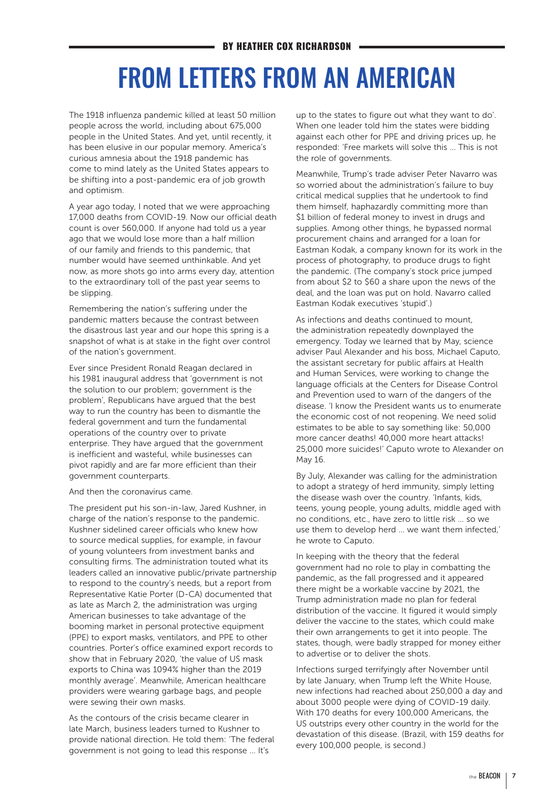## FROM LETTERS FROM AN AMERICAN

The 1918 influenza pandemic killed at least 50 million people across the world, including about 675,000 people in the United States. And yet, until recently, it has been elusive in our popular memory. America's curious amnesia about the 1918 pandemic has come to mind lately as the United States appears to be shifting into a post-pandemic era of job growth and optimism.

A year ago today, I noted that we were approaching 17,000 deaths from COVID-19. Now our official death count is over 560,000. If anyone had told us a year ago that we would lose more than a half million of our family and friends to this pandemic, that number would have seemed unthinkable. And yet now, as more shots go into arms every day, attention to the extraordinary toll of the past year seems to be slipping.

Remembering the nation's suffering under the pandemic matters because the contrast between the disastrous last year and our hope this spring is a snapshot of what is at stake in the fight over control of the nation's government.

Ever since President Ronald Reagan declared in his 1981 inaugural address that 'government is not the solution to our problem; government is the problem', Republicans have argued that the best way to run the country has been to dismantle the federal government and turn the fundamental operations of the country over to private enterprise. They have argued that the government is inefficient and wasteful, while businesses can pivot rapidly and are far more efficient than their government counterparts.

And then the coronavirus came.

The president put his son-in-law, Jared Kushner, in charge of the nation's response to the pandemic. Kushner sidelined career officials who knew how to source medical supplies, for example, in favour of young volunteers from investment banks and consulting firms. The administration touted what its leaders called an innovative public/private partnership to respond to the country's needs, but a report from Representative Katie Porter (D-CA) documented that as late as March 2, the administration was urging American businesses to take advantage of the booming market in personal protective equipment (PPE) to export masks, ventilators, and PPE to other countries. Porter's office examined export records to show that in February 2020, 'the value of US mask exports to China was 1094% higher than the 2019 monthly average'. Meanwhile, American healthcare providers were wearing garbage bags, and people were sewing their own masks.

As the contours of the crisis became clearer in late March, business leaders turned to Kushner to provide national direction. He told them: 'The federal government is not going to lead this response … It's

up to the states to figure out what they want to do'. When one leader told him the states were bidding against each other for PPE and driving prices up, he responded: 'Free markets will solve this … This is not the role of governments.

Meanwhile, Trump's trade adviser Peter Navarro was so worried about the administration's failure to buy critical medical supplies that he undertook to find them himself, haphazardly committing more than \$1 billion of federal money to invest in drugs and supplies. Among other things, he bypassed normal procurement chains and arranged for a loan for Eastman Kodak, a company known for its work in the process of photography, to produce drugs to fight the pandemic. (The company's stock price jumped from about \$2 to \$60 a share upon the news of the deal, and the loan was put on hold. Navarro called Eastman Kodak executives 'stupid'.)

As infections and deaths continued to mount, the administration repeatedly downplayed the emergency. Today we learned that by May, science adviser Paul Alexander and his boss, Michael Caputo, the assistant secretary for public affairs at Health and Human Services, were working to change the language officials at the Centers for Disease Control and Prevention used to warn of the dangers of the disease. 'I know the President wants us to enumerate the economic cost of not reopening. We need solid estimates to be able to say something like: 50,000 more cancer deaths! 40,000 more heart attacks! 25,000 more suicides!' Caputo wrote to Alexander on May 16.

By July, Alexander was calling for the administration to adopt a strategy of herd immunity, simply letting the disease wash over the country. 'Infants, kids, teens, young people, young adults, middle aged with no conditions, etc., have zero to little risk … so we use them to develop herd … we want them infected,' he wrote to Caputo.

In keeping with the theory that the federal government had no role to play in combatting the pandemic, as the fall progressed and it appeared there might be a workable vaccine by 2021, the Trump administration made no plan for federal distribution of the vaccine. It figured it would simply deliver the vaccine to the states, which could make their own arrangements to get it into people. The states, though, were badly strapped for money either to advertise or to deliver the shots.

Infections surged terrifyingly after November until by late January, when Trump left the White House, new infections had reached about 250,000 a day and about 3000 people were dying of COVID-19 daily. With 170 deaths for every 100,000 Americans, the US outstrips every other country in the world for the devastation of this disease. (Brazil, with 159 deaths for every 100,000 people, is second.)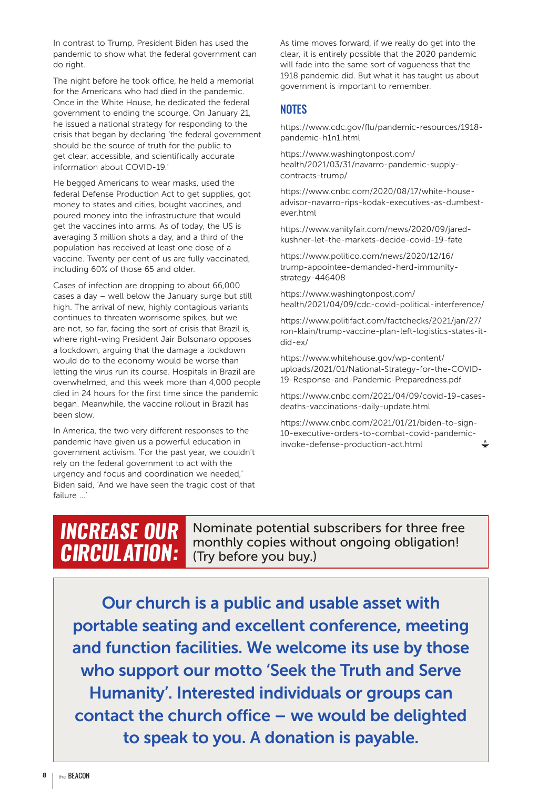In contrast to Trump, President Biden has used the pandemic to show what the federal government can do right.

The night before he took office, he held a memorial for the Americans who had died in the pandemic. Once in the White House, he dedicated the federal government to ending the scourge. On January 21, he issued a national strategy for responding to the crisis that began by declaring 'the federal government should be the source of truth for the public to get clear, accessible, and scientifically accurate information about COVID-19.'

He begged Americans to wear masks, used the federal Defense Production Act to get supplies, got money to states and cities, bought vaccines, and poured money into the infrastructure that would get the vaccines into arms. As of today, the US is averaging 3 million shots a day, and a third of the population has received at least one dose of a vaccine. Twenty per cent of us are fully vaccinated, including 60% of those 65 and older.

Cases of infection are dropping to about 66,000 cases a day – well below the January surge but still high. The arrival of new, highly contagious variants continues to threaten worrisome spikes, but we are not, so far, facing the sort of crisis that Brazil is, where right-wing President Jair Bolsonaro opposes a lockdown, arguing that the damage a lockdown would do to the economy would be worse than letting the virus run its course. Hospitals in Brazil are overwhelmed, and this week more than 4,000 people died in 24 hours for the first time since the pandemic began. Meanwhile, the vaccine rollout in Brazil has been slow.

In America, the two very different responses to the pandemic have given us a powerful education in government activism. 'For the past year, we couldn't rely on the federal government to act with the urgency and focus and coordination we needed,' Biden said, 'And we have seen the tragic cost of that failure …'

As time moves forward, if we really do get into the clear, it is entirely possible that the 2020 pandemic will fade into the same sort of vagueness that the 1918 pandemic did. But what it has taught us about government is important to remember.

## **NOTES**

https://www.cdc.gov/flu/pandemic-resources/1918 pandemic-h1n1.html

https://www.washingtonpost.com/ health/2021/03/31/navarro-pandemic-supplycontracts-trump/

https://www.cnbc.com/2020/08/17/white-houseadvisor-navarro-rips-kodak-executives-as-dumbestever.html

https://www.vanityfair.com/news/2020/09/jaredkushner-let-the-markets-decide-covid-19-fate

https://www.politico.com/news/2020/12/16/ trump-appointee-demanded-herd-immunitystrategy-446408

https://www.washingtonpost.com/ health/2021/04/09/cdc-covid-political-interference/

https://www.politifact.com/factchecks/2021/jan/27/ ron-klain/trump-vaccine-plan-left-logistics-states-itdid-ex/

https://www.whitehouse.gov/wp-content/ uploads/2021/01/National-Strategy-for-the-COVID-19-Response-and-Pandemic-Preparedness.pdf

https://www.cnbc.com/2021/04/09/covid-19-casesdeaths-vaccinations-daily-update.html

https://www.cnbc.com/2021/01/21/biden-to-sign-10-executive-orders-to-combat-covid-pandemicinvoke-defense-production-act.html

## *INCREASE OUR CIRCULATION:*

Nominate potential subscribers for three free monthly copies without ongoing obligation! (Try before you buy.)

Our church is a public and usable asset with portable seating and excellent conference, meeting and function facilities. We welcome its use by those who support our motto 'Seek the Truth and Serve Humanity'. Interested individuals or groups can contact the church office – we would be delighted to speak to you. A donation is payable.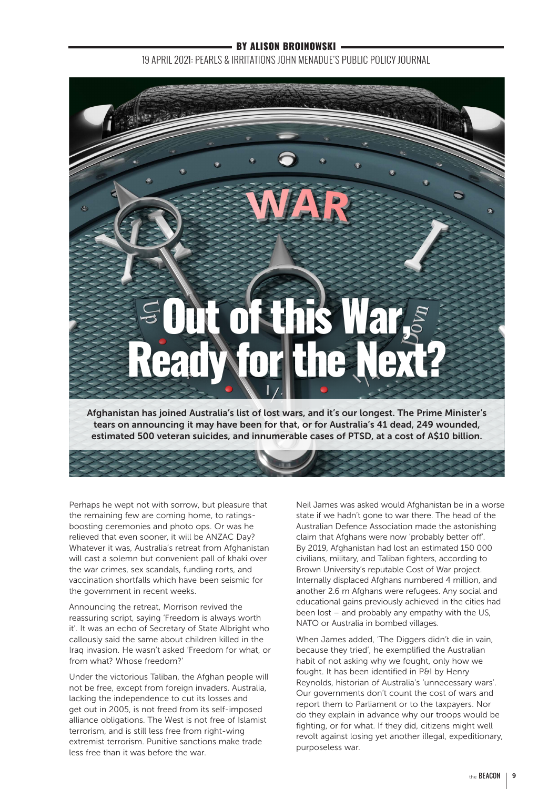## **- BY ALISON BROINOWSKI ·**

19 APRIL 2021: PEARLS & IRRITATIONS JOHN MENADUE'S PUBLIC POLICY JOURNAL



tears on announcing it may have been for that, or for Australia's 41 dead, 249 wounded, estimated 500 veteran suicides, and innumerable cases of PTSD, at a cost of A\$10 billion.

Perhaps he wept not with sorrow, but pleasure that the remaining few are coming home, to ratingsboosting ceremonies and photo ops. Or was he relieved that even sooner, it will be ANZAC Day? Whatever it was, Australia's retreat from Afghanistan will cast a solemn but convenient pall of khaki over the war crimes, sex scandals, funding rorts, and vaccination shortfalls which have been seismic for the government in recent weeks.

Announcing the retreat, Morrison revived the reassuring script, saying 'Freedom is always worth it'. It was an echo of Secretary of State Albright who callously said the same about children killed in the Iraq invasion. He wasn't asked 'Freedom for what, or from what? Whose freedom?'

Under the victorious Taliban, the Afghan people will not be free, except from foreign invaders. Australia, lacking the independence to cut its losses and get out in 2005, is not freed from its self-imposed alliance obligations. The West is not free of Islamist terrorism, and is still less free from right-wing extremist terrorism. Punitive sanctions make trade less free than it was before the war.

Neil James was asked would Afghanistan be in a worse state if we hadn't gone to war there. The head of the Australian Defence Association made the astonishing claim that Afghans were now 'probably better off'. By 2019, Afghanistan had lost an estimated 150 000 civilians, military, and Taliban fighters, according to Brown University's reputable Cost of War project. Internally displaced Afghans numbered 4 million, and another 2.6 m Afghans were refugees. Any social and educational gains previously achieved in the cities had been lost – and probably any empathy with the US, NATO or Australia in bombed villages.

When James added, 'The Diggers didn't die in vain, because they tried', he exemplified the Australian habit of not asking why we fought, only how we fought. It has been identified in P&I by Henry Reynolds, historian of Australia's 'unnecessary wars'. Our governments don't count the cost of wars and report them to Parliament or to the taxpayers. Nor do they explain in advance why our troops would be fighting, or for what. If they did, citizens might well revolt against losing yet another illegal, expeditionary, purposeless war.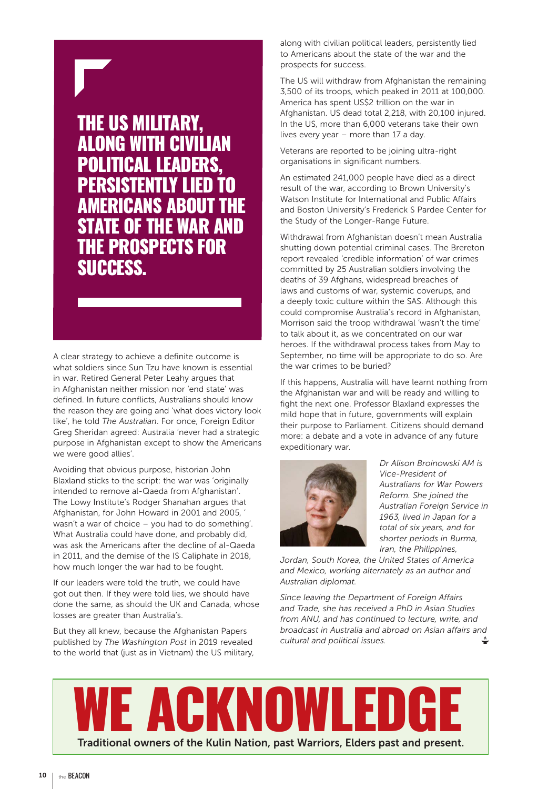# THE US MILITARY, **ALONG WITH CIVILIAN** POLITICAL LEADERS,

PERSISTENTLY LIED TO AMERICANS ABOUT THE STATE OF THE WAR AND THE PROSPECTS FOR SUCCESS.

A clear strategy to achieve a definite outcome is what soldiers since Sun Tzu have known is essential in war. Retired General Peter Leahy argues that in Afghanistan neither mission nor 'end state' was defined. In future conflicts, Australians should know the reason they are going and 'what does victory look like', he told *The Australian*. For once, Foreign Editor Greg Sheridan agreed: Australia 'never had a strategic purpose in Afghanistan except to show the Americans we were good allies'.

Avoiding that obvious purpose, historian John Blaxland sticks to the script: the war was 'originally intended to remove al-Qaeda from Afghanistan'. The Lowy Institute's Rodger Shanahan argues that Afghanistan, for John Howard in 2001 and 2005, ' wasn't a war of choice – you had to do something'. What Australia could have done, and probably did, was ask the Americans after the decline of al-Qaeda in 2011, and the demise of the IS Caliphate in 2018, how much longer the war had to be fought.

If our leaders were told the truth, we could have got out then. If they were told lies, we should have done the same, as should the UK and Canada, whose losses are greater than Australia's.

But they all knew, because the Afghanistan Papers published by *The Washington Post* in 2019 revealed to the world that (just as in Vietnam) the US military, along with civilian political leaders, persistently lied to Americans about the state of the war and the prospects for success.

The US will withdraw from Afghanistan the remaining 3,500 of its troops, which peaked in 2011 at 100,000. America has spent US\$2 trillion on the war in Afghanistan. US dead total 2,218, with 20,100 injured. In the US, more than 6,000 veterans take their own lives every year – more than 17 a day.

Veterans are reported to be joining ultra-right organisations in significant numbers.

An estimated 241,000 people have died as a direct result of the war, according to Brown University's Watson Institute for International and Public Affairs and Boston University's Frederick S Pardee Center for the Study of the Longer-Range Future.

Withdrawal from Afghanistan doesn't mean Australia shutting down potential criminal cases. The Brereton report revealed 'credible information' of war crimes committed by 25 Australian soldiers involving the deaths of 39 Afghans, widespread breaches of laws and customs of war, systemic coverups, and a deeply toxic culture within the SAS. Although this could compromise Australia's record in Afghanistan, Morrison said the troop withdrawal 'wasn't the time' to talk about it, as we concentrated on our war heroes. If the withdrawal process takes from May to September, no time will be appropriate to do so. Are the war crimes to be buried?

If this happens, Australia will have learnt nothing from the Afghanistan war and will be ready and willing to fight the next one. Professor Blaxland expresses the mild hope that in future, governments will explain their purpose to Parliament. Citizens should demand more: a debate and a vote in advance of any future expeditionary war.



*Dr Alison Broinowski AM is Vice-President of Australians for War Powers Reform. She joined the Australian Foreign Service in 1963, lived in Japan for a total of six years, and for shorter periods in Burma, Iran, the Philippines,* 

*Jordan, South Korea, the United States of America and Mexico, working alternately as an author and Australian diplomat.*

*Since leaving the Department of Foreign Affairs and Trade, she has received a PhD in Asian Studies from ANU, and has continued to lecture, write, and broadcast in Australia and abroad on Asian affairs and cultural and political issues.*

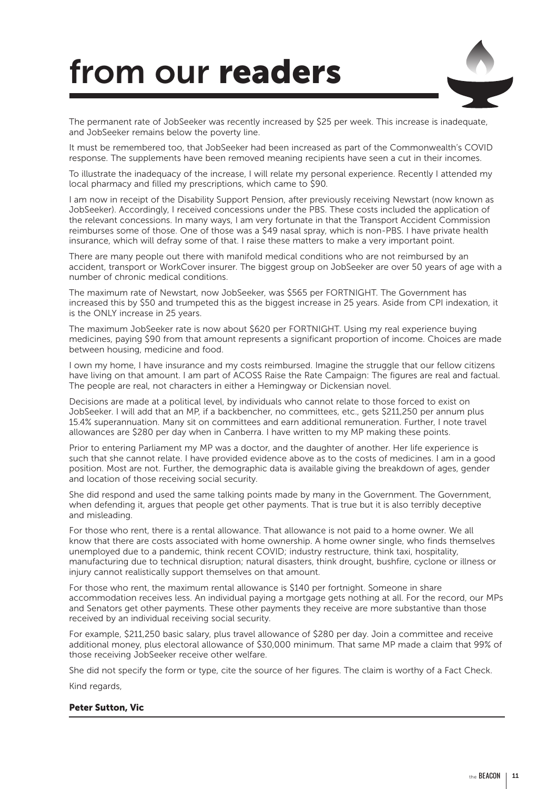# from our readers



The permanent rate of JobSeeker was recently increased by \$25 per week. This increase is inadequate, and JobSeeker remains below the poverty line.

It must be remembered too, that JobSeeker had been increased as part of the Commonwealth's COVID response. The supplements have been removed meaning recipients have seen a cut in their incomes.

To illustrate the inadequacy of the increase, I will relate my personal experience. Recently I attended my local pharmacy and filled my prescriptions, which came to \$90.

I am now in receipt of the Disability Support Pension, after previously receiving Newstart (now known as JobSeeker). Accordingly, I received concessions under the PBS. These costs included the application of the relevant concessions. In many ways, I am very fortunate in that the Transport Accident Commission reimburses some of those. One of those was a \$49 nasal spray, which is non-PBS. I have private health insurance, which will defray some of that. I raise these matters to make a very important point.

There are many people out there with manifold medical conditions who are not reimbursed by an accident, transport or WorkCover insurer. The biggest group on JobSeeker are over 50 years of age with a number of chronic medical conditions.

The maximum rate of Newstart, now JobSeeker, was \$565 per FORTNIGHT. The Government has increased this by \$50 and trumpeted this as the biggest increase in 25 years. Aside from CPI indexation, it is the ONLY increase in 25 years.

The maximum JobSeeker rate is now about \$620 per FORTNIGHT. Using my real experience buying medicines, paying \$90 from that amount represents a significant proportion of income. Choices are made between housing, medicine and food.

I own my home, I have insurance and my costs reimbursed. Imagine the struggle that our fellow citizens have living on that amount. I am part of ACOSS Raise the Rate Campaign: The figures are real and factual. The people are real, not characters in either a Hemingway or Dickensian novel.

Decisions are made at a political level, by individuals who cannot relate to those forced to exist on JobSeeker. I will add that an MP, if a backbencher, no committees, etc., gets \$211,250 per annum plus 15.4% superannuation. Many sit on committees and earn additional remuneration. Further, I note travel allowances are \$280 per day when in Canberra. I have written to my MP making these points.

Prior to entering Parliament my MP was a doctor, and the daughter of another. Her life experience is such that she cannot relate. I have provided evidence above as to the costs of medicines. I am in a good position. Most are not. Further, the demographic data is available giving the breakdown of ages, gender and location of those receiving social security.

She did respond and used the same talking points made by many in the Government. The Government, when defending it, argues that people get other payments. That is true but it is also terribly deceptive and misleading.

For those who rent, there is a rental allowance. That allowance is not paid to a home owner. We all know that there are costs associated with home ownership. A home owner single, who finds themselves unemployed due to a pandemic, think recent COVID; industry restructure, think taxi, hospitality, manufacturing due to technical disruption; natural disasters, think drought, bushfire, cyclone or illness or injury cannot realistically support themselves on that amount.

For those who rent, the maximum rental allowance is \$140 per fortnight. Someone in share accommodation receives less. An individual paying a mortgage gets nothing at all. For the record, our MPs and Senators get other payments. These other payments they receive are more substantive than those received by an individual receiving social security.

For example, \$211,250 basic salary, plus travel allowance of \$280 per day. Join a committee and receive additional money, plus electoral allowance of \$30,000 minimum. That same MP made a claim that 99% of those receiving JobSeeker receive other welfare.

She did not specify the form or type, cite the source of her figures. The claim is worthy of a Fact Check.

Kind regards,

#### Peter Sutton, Vic